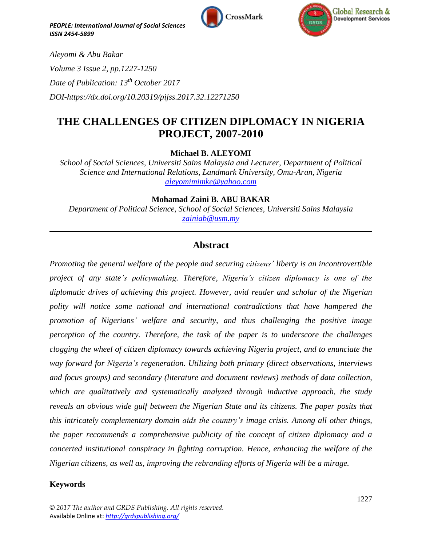



*Aleyomi & Abu Bakar Volume 3 Issue 2, pp.1227-1250 Date of Publication: 13 th October 2017 DOI-https://dx.doi.org/10.20319/pijss.2017.32.12271250*

# **THE CHALLENGES OF CITIZEN DIPLOMACY IN NIGERIA PROJECT, 2007-2010**

**Michael B. ALEYOMI**

*School of Social Sciences, Universiti Sains Malaysia and Lecturer, Department of Political Science and International Relations, Landmark University, Omu-Aran, Nigeria [aleyomimimke@yahoo.com](mailto:aleyomimimke@yahoo.com)*

**Mohamad Zaini B. ABU BAKAR**

*Department of Political Science, School of Social Sciences, Universiti Sains Malaysia [zainiab@usm.my](mailto:zainiab@usm.my)*

 $\mathcal{L}_\mathcal{L} = \mathcal{L}_\mathcal{L} = \mathcal{L}_\mathcal{L} = \mathcal{L}_\mathcal{L} = \mathcal{L}_\mathcal{L} = \mathcal{L}_\mathcal{L} = \mathcal{L}_\mathcal{L} = \mathcal{L}_\mathcal{L} = \mathcal{L}_\mathcal{L} = \mathcal{L}_\mathcal{L} = \mathcal{L}_\mathcal{L} = \mathcal{L}_\mathcal{L} = \mathcal{L}_\mathcal{L} = \mathcal{L}_\mathcal{L} = \mathcal{L}_\mathcal{L} = \mathcal{L}_\mathcal{L} = \mathcal{L}_\mathcal{L}$ 

## **Abstract**

*Promoting the general welfare of the people and securing citizens' liberty is an incontrovertible project of any state's policymaking. Therefore, Nigeria's citizen diplomacy is one of the diplomatic drives of achieving this project. However, avid reader and scholar of the Nigerian polity will notice some national and international contradictions that have hampered the promotion of Nigerians' welfare and security, and thus challenging the positive image perception of the country. Therefore, the task of the paper is to underscore the challenges clogging the wheel of citizen diplomacy towards achieving Nigeria project, and to enunciate the way forward for Nigeria's regeneration. Utilizing both primary (direct observations, interviews and focus groups) and secondary (literature and document reviews) methods of data collection, which are qualitatively and systematically analyzed through inductive approach, the study reveals an obvious wide gulf between the Nigerian State and its citizens. The paper posits that this intricately complementary domain aids the country's image crisis. Among all other things, the paper recommends a comprehensive publicity of the concept of citizen diplomacy and a concerted institutional conspiracy in fighting corruption. Hence, enhancing the welfare of the Nigerian citizens, as well as, improving the rebranding efforts of Nigeria will be a mirage.*

## **Keywords**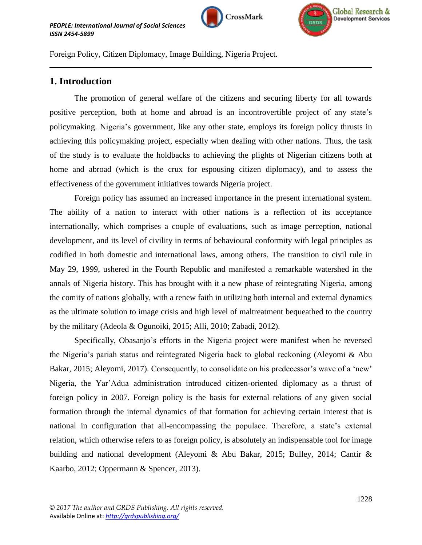



Foreign Policy, Citizen Diplomacy, Image Building, Nigeria Project.

## **1. Introduction**

The promotion of general welfare of the citizens and securing liberty for all towards positive perception, both at home and abroad is an incontrovertible project of any state"s policymaking. Nigeria"s government, like any other state, employs its foreign policy thrusts in achieving this policymaking project, especially when dealing with other nations. Thus, the task of the study is to evaluate the holdbacks to achieving the plights of Nigerian citizens both at home and abroad (which is the crux for espousing citizen diplomacy), and to assess the effectiveness of the government initiatives towards Nigeria project.

 $\mathcal{L}_\mathcal{L} = \mathcal{L}_\mathcal{L} = \mathcal{L}_\mathcal{L} = \mathcal{L}_\mathcal{L} = \mathcal{L}_\mathcal{L} = \mathcal{L}_\mathcal{L} = \mathcal{L}_\mathcal{L} = \mathcal{L}_\mathcal{L} = \mathcal{L}_\mathcal{L} = \mathcal{L}_\mathcal{L} = \mathcal{L}_\mathcal{L} = \mathcal{L}_\mathcal{L} = \mathcal{L}_\mathcal{L} = \mathcal{L}_\mathcal{L} = \mathcal{L}_\mathcal{L} = \mathcal{L}_\mathcal{L} = \mathcal{L}_\mathcal{L}$ 

Foreign policy has assumed an increased importance in the present international system. The ability of a nation to interact with other nations is a reflection of its acceptance internationally, which comprises a couple of evaluations, such as image perception, national development, and its level of civility in terms of behavioural conformity with legal principles as codified in both domestic and international laws, among others. The transition to civil rule in May 29, 1999, ushered in the Fourth Republic and manifested a remarkable watershed in the annals of Nigeria history. This has brought with it a new phase of reintegrating Nigeria, among the comity of nations globally, with a renew faith in utilizing both internal and external dynamics as the ultimate solution to image crisis and high level of maltreatment bequeathed to the country by the military (Adeola & Ogunoiki, 2015; Alli, 2010; Zabadi, 2012).

Specifically, Obasanjo's efforts in the Nigeria project were manifest when he reversed the Nigeria"s pariah status and reintegrated Nigeria back to global reckoning (Aleyomi & Abu Bakar, 2015; Aleyomi, 2017). Consequently, to consolidate on his predecessor's wave of a 'new' Nigeria, the Yar"Adua administration introduced citizen-oriented diplomacy as a thrust of foreign policy in 2007. Foreign policy is the basis for external relations of any given social formation through the internal dynamics of that formation for achieving certain interest that is national in configuration that all-encompassing the populace. Therefore, a state's external relation, which otherwise refers to as foreign policy, is absolutely an indispensable tool for image building and national development (Aleyomi & Abu Bakar, 2015; Bulley, 2014; Cantir & Kaarbo, 2012; Oppermann & Spencer, 2013).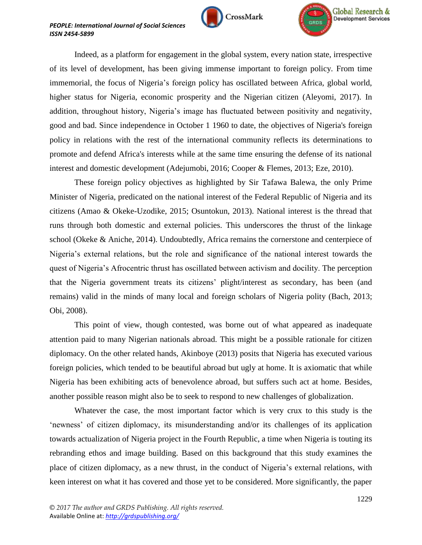





Indeed, as a platform for engagement in the global system, every nation state, irrespective of its level of development, has been giving immense important to foreign policy. From time immemorial, the focus of Nigeria"s foreign policy has oscillated between Africa, global world, higher status for Nigeria, economic prosperity and the Nigerian citizen (Aleyomi, 2017). In addition, throughout history, Nigeria's image has fluctuated between positivity and negativity, good and bad. Since independence in October 1 1960 to date, the objectives of Nigeria's foreign policy in relations with the rest of the international community reflects its determinations to promote and defend Africa's interests while at the same time ensuring the defense of its national interest and domestic development (Adejumobi, 2016; Cooper & Flemes, 2013; Eze, 2010).

These foreign policy objectives as highlighted by Sir Tafawa Balewa, the only Prime Minister of Nigeria, predicated on the national interest of the Federal Republic of Nigeria and its citizens (Amao & Okeke-Uzodike, 2015; Osuntokun, 2013). National interest is the thread that runs through both domestic and external policies. This underscores the thrust of the linkage school (Okeke & Aniche, 2014). Undoubtedly, Africa remains the cornerstone and centerpiece of Nigeria"s external relations, but the role and significance of the national interest towards the quest of Nigeria"s Afrocentric thrust has oscillated between activism and docility. The perception that the Nigeria government treats its citizens" plight/interest as secondary, has been (and remains) valid in the minds of many local and foreign scholars of Nigeria polity (Bach, 2013; Obi, 2008).

This point of view, though contested, was borne out of what appeared as inadequate attention paid to many Nigerian nationals abroad. This might be a possible rationale for citizen diplomacy. On the other related hands, Akinboye (2013) posits that Nigeria has executed various foreign policies, which tended to be beautiful abroad but ugly at home. It is axiomatic that while Nigeria has been exhibiting acts of benevolence abroad, but suffers such act at home. Besides, another possible reason might also be to seek to respond to new challenges of globalization.

Whatever the case, the most important factor which is very crux to this study is the "newness" of citizen diplomacy, its misunderstanding and/or its challenges of its application towards actualization of Nigeria project in the Fourth Republic, a time when Nigeria is touting its rebranding ethos and image building. Based on this background that this study examines the place of citizen diplomacy, as a new thrust, in the conduct of Nigeria's external relations, with keen interest on what it has covered and those yet to be considered. More significantly, the paper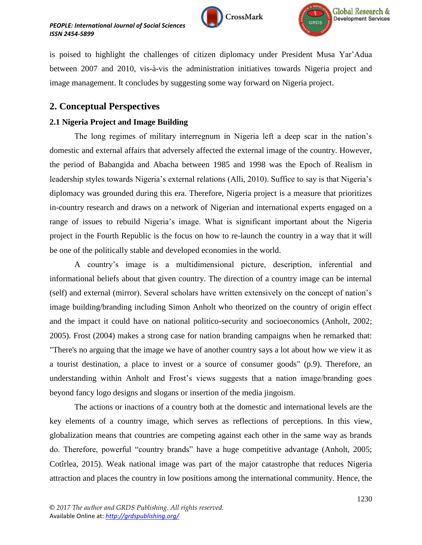



is poised to highlight the challenges of citizen diplomacy under President Musa Yar"Adua between 2007 and 2010, vis-à-vis the administration initiatives towards Nigeria project and image management. It concludes by suggesting some way forward on Nigeria project.

## **2. Conceptual Perspectives**

## **2.1 Nigeria Project and Image Building**

The long regimes of military interregnum in Nigeria left a deep scar in the nation"s domestic and external affairs that adversely affected the external image of the country. However, the period of Babangida and Abacha between 1985 and 1998 was the Epoch of Realism in leadership styles towards Nigeria's external relations (Alli, 2010). Suffice to say is that Nigeria's diplomacy was grounded during this era. Therefore, Nigeria project is a measure that prioritizes in-country research and draws on a network of Nigerian and international experts engaged on a range of issues to rebuild Nigeria's image. What is significant important about the Nigeria project in the Fourth Republic is the focus on how to re-launch the country in a way that it will be one of the politically stable and developed economies in the world.

A country"s image is a multidimensional picture, description, inferential and informational beliefs about that given country. The direction of a country image can be internal (self) and external (mirror). Several scholars have written extensively on the concept of nation"s image building/branding including Simon Anholt who theorized on the country of origin effect and the impact it could have on national politico-security and socioeconomics (Anholt, 2002; 2005). Frost (2004) makes a strong case for nation branding campaigns when he remarked that: "There's no arguing that the image we have of another country says a lot about how we view it as a tourist destination, a place to invest or a source of consumer goods" (p.9). Therefore, an understanding within Anholt and Frost"s views suggests that a nation image/branding goes beyond fancy logo designs and slogans or insertion of the media jingoism.

The actions or inactions of a country both at the domestic and international levels are the key elements of a country image, which serves as reflections of perceptions. In this view, globalization means that countries are competing against each other in the same way as brands do. Therefore, powerful "country brands" have a huge competitive advantage (Anholt, 2005; Cotîrlea, 2015). Weak national image was part of the major catastrophe that reduces Nigeria attraction and places the country in low positions among the international community. Hence, the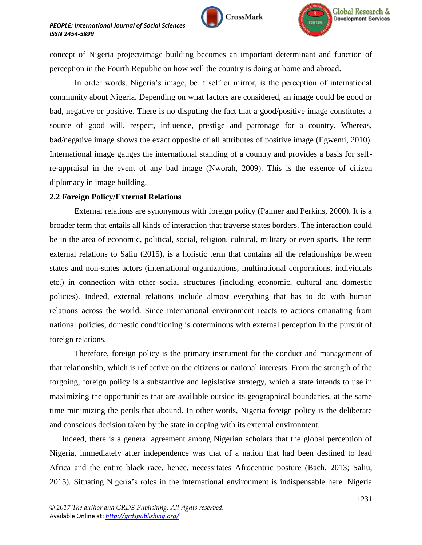



concept of Nigeria project/image building becomes an important determinant and function of perception in the Fourth Republic on how well the country is doing at home and abroad.

In order words, Nigeria's image, be it self or mirror, is the perception of international community about Nigeria. Depending on what factors are considered, an image could be good or bad, negative or positive. There is no disputing the fact that a good/positive image constitutes a source of good will, respect, influence, prestige and patronage for a country. Whereas, bad/negative image shows the exact opposite of all attributes of positive image (Egwemi, 2010). International image gauges the international standing of a country and provides a basis for selfre-appraisal in the event of any bad image (Nworah, 2009). This is the essence of citizen diplomacy in image building.

### **2.2 Foreign Policy/External Relations**

External relations are synonymous with foreign policy (Palmer and Perkins, 2000). It is a broader term that entails all kinds of interaction that traverse states borders. The interaction could be in the area of economic, political, social, religion, cultural, military or even sports. The term external relations to Saliu (2015), is a holistic term that contains all the relationships between states and non-states actors (international organizations, multinational corporations, individuals etc.) in connection with other social structures (including economic, cultural and domestic policies). Indeed, external relations include almost everything that has to do with human relations across the world. Since international environment reacts to actions emanating from national policies, domestic conditioning is coterminous with external perception in the pursuit of foreign relations.

Therefore, foreign policy is the primary instrument for the conduct and management of that relationship, which is reflective on the citizens or national interests. From the strength of the forgoing, foreign policy is a substantive and legislative strategy, which a state intends to use in maximizing the opportunities that are available outside its geographical boundaries, at the same time minimizing the perils that abound. In other words, Nigeria foreign policy is the deliberate and conscious decision taken by the state in coping with its external environment.

Indeed, there is a general agreement among Nigerian scholars that the global perception of Nigeria, immediately after independence was that of a nation that had been destined to lead Africa and the entire black race, hence, necessitates Afrocentric posture (Bach, 2013; Saliu, 2015). Situating Nigeria"s roles in the international environment is indispensable here. Nigeria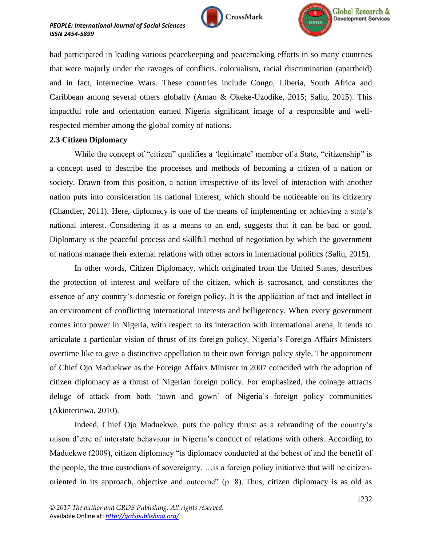



had participated in leading various peacekeeping and peacemaking efforts in so many countries that were majorly under the ravages of conflicts, colonialism, racial discrimination (apartheid) and in fact, internecine Wars. These countries include Congo, Liberia, South Africa and Caribbean among several others globally (Amao & Okeke-Uzodike, 2015; Saliu, 2015). This impactful role and orientation earned Nigeria significant image of a responsible and wellrespected member among the global comity of nations.

### **2.3 Citizen Diplomacy**

While the concept of "citizen" qualifies a 'legitimate' member of a State, "citizenship" is a concept used to describe the processes and methods of becoming a citizen of a nation or society. Drawn from this position, a nation irrespective of its level of interaction with another nation puts into consideration its national interest, which should be noticeable on its citizenry (Chandler, 2011). Here, diplomacy is one of the means of implementing or achieving a state"s national interest. Considering it as a means to an end, suggests that it can be bad or good. Diplomacy is the peaceful process and skillful method of negotiation by which the government of nations manage their external relations with other actors in international politics (Saliu, 2015).

In other words, Citizen Diplomacy, which originated from the United States, describes the protection of interest and welfare of the citizen, which is sacrosanct, and constitutes the essence of any country"s domestic or foreign policy. It is the application of tact and intellect in an environment of conflicting international interests and belligerency. When every government comes into power in Nigeria, with respect to its interaction with international arena, it tends to articulate a particular vision of thrust of its foreign policy. Nigeria"s Foreign Affairs Ministers overtime like to give a distinctive appellation to their own foreign policy style. The appointment of Chief Ojo Maduekwe as the Foreign Affairs Minister in 2007 coincided with the adoption of citizen diplomacy as a thrust of Nigerian foreign policy. For emphasized, the coinage attracts deluge of attack from both "town and gown" of Nigeria"s foreign policy communities (Akinterinwa, 2010).

Indeed, Chief Ojo Maduekwe, puts the policy thrust as a rebranding of the country"s raison d"etre of interstate behaviour in Nigeria"s conduct of relations with others. According to Maduekwe (2009), citizen diplomacy "is diplomacy conducted at the behest of and the benefit of the people, the true custodians of sovereignty. …is a foreign policy initiative that will be citizenoriented in its approach, objective and outcome" (p. 8). Thus, citizen diplomacy is as old as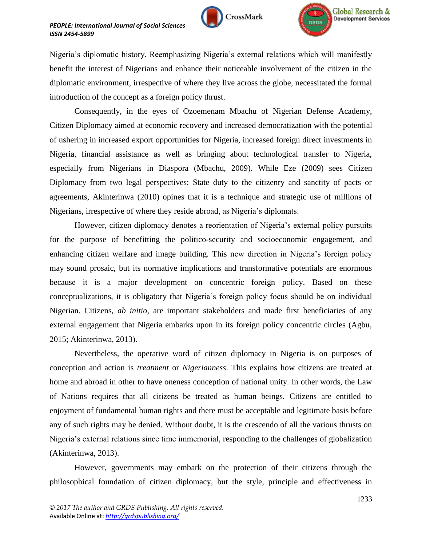



Nigeria"s diplomatic history. Reemphasizing Nigeria"s external relations which will manifestly benefit the interest of Nigerians and enhance their noticeable involvement of the citizen in the diplomatic environment, irrespective of where they live across the globe, necessitated the formal introduction of the concept as a foreign policy thrust.

Consequently, in the eyes of Ozoemenam Mbachu of Nigerian Defense Academy, Citizen Diplomacy aimed at economic recovery and increased democratization with the potential of ushering in increased export opportunities for Nigeria, increased foreign direct investments in Nigeria, financial assistance as well as bringing about technological transfer to Nigeria, especially from Nigerians in Diaspora (Mbachu, 2009). While Eze (2009) sees Citizen Diplomacy from two legal perspectives: State duty to the citizenry and sanctity of pacts or agreements, Akinterinwa (2010) opines that it is a technique and strategic use of millions of Nigerians, irrespective of where they reside abroad, as Nigeria"s diplomats.

However, citizen diplomacy denotes a reorientation of Nigeria"s external policy pursuits for the purpose of benefitting the politico-security and socioeconomic engagement, and enhancing citizen welfare and image building. This new direction in Nigeria"s foreign policy may sound prosaic, but its normative implications and transformative potentials are enormous because it is a major development on concentric foreign policy. Based on these conceptualizations, it is obligatory that Nigeria's foreign policy focus should be on individual Nigerian. Citizens, *ab initio,* are important stakeholders and made first beneficiaries of any external engagement that Nigeria embarks upon in its foreign policy concentric circles (Agbu, 2015; Akinterinwa, 2013).

Nevertheless, the operative word of citizen diplomacy in Nigeria is on purposes of conception and action is *treatment* or *Nigerianness*. This explains how citizens are treated at home and abroad in other to have oneness conception of national unity. In other words, the Law of Nations requires that all citizens be treated as human beings. Citizens are entitled to enjoyment of fundamental human rights and there must be acceptable and legitimate basis before any of such rights may be denied. Without doubt, it is the crescendo of all the various thrusts on Nigeria"s external relations since time immemorial, responding to the challenges of globalization (Akinterinwa, 2013).

However, governments may embark on the protection of their citizens through the philosophical foundation of citizen diplomacy, but the style, principle and effectiveness in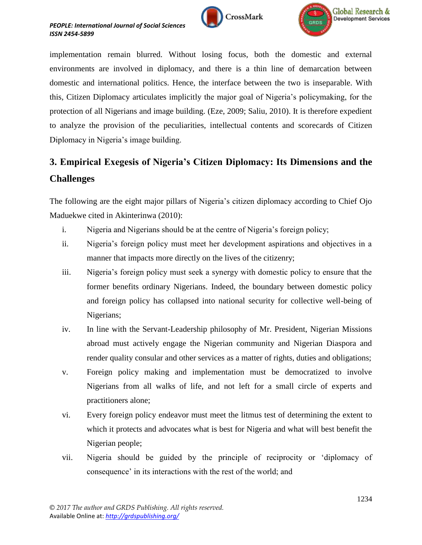

implementation remain blurred. Without losing focus, both the domestic and external environments are involved in diplomacy, and there is a thin line of demarcation between domestic and international politics. Hence, the interface between the two is inseparable. With this, Citizen Diplomacy articulates implicitly the major goal of Nigeria"s policymaking, for the protection of all Nigerians and image building. (Eze, 2009; Saliu, 2010). It is therefore expedient to analyze the provision of the peculiarities, intellectual contents and scorecards of Citizen Diplomacy in Nigeria's image building.

# **3. Empirical Exegesis of Nigeria's Citizen Diplomacy: Its Dimensions and the Challenges**

The following are the eight major pillars of Nigeria's citizen diplomacy according to Chief Ojo Maduekwe cited in Akinterinwa (2010):

- i. Nigeria and Nigerians should be at the centre of Nigeria's foreign policy;
- ii. Nigeria"s foreign policy must meet her development aspirations and objectives in a manner that impacts more directly on the lives of the citizenry;
- iii. Nigeria"s foreign policy must seek a synergy with domestic policy to ensure that the former benefits ordinary Nigerians. Indeed, the boundary between domestic policy and foreign policy has collapsed into national security for collective well-being of Nigerians;
- iv. In line with the Servant-Leadership philosophy of Mr. President, Nigerian Missions abroad must actively engage the Nigerian community and Nigerian Diaspora and render quality consular and other services as a matter of rights, duties and obligations;
- v. Foreign policy making and implementation must be democratized to involve Nigerians from all walks of life, and not left for a small circle of experts and practitioners alone;
- vi. Every foreign policy endeavor must meet the litmus test of determining the extent to which it protects and advocates what is best for Nigeria and what will best benefit the Nigerian people;
- vii. Nigeria should be guided by the principle of reciprocity or "diplomacy of consequence" in its interactions with the rest of the world; and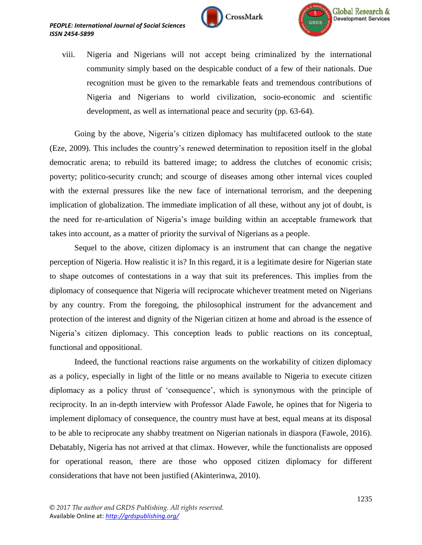



viii. Nigeria and Nigerians will not accept being criminalized by the international community simply based on the despicable conduct of a few of their nationals. Due recognition must be given to the remarkable feats and tremendous contributions of Nigeria and Nigerians to world civilization, socio-economic and scientific development, as well as international peace and security (pp. 63-64).

Going by the above, Nigeria"s citizen diplomacy has multifaceted outlook to the state (Eze, 2009). This includes the country"s renewed determination to reposition itself in the global democratic arena; to rebuild its battered image; to address the clutches of economic crisis; poverty; politico-security crunch; and scourge of diseases among other internal vices coupled with the external pressures like the new face of international terrorism, and the deepening implication of globalization. The immediate implication of all these, without any jot of doubt, is the need for re-articulation of Nigeria's image building within an acceptable framework that takes into account, as a matter of priority the survival of Nigerians as a people.

Sequel to the above, citizen diplomacy is an instrument that can change the negative perception of Nigeria. How realistic it is? In this regard, it is a legitimate desire for Nigerian state to shape outcomes of contestations in a way that suit its preferences. This implies from the diplomacy of consequence that Nigeria will reciprocate whichever treatment meted on Nigerians by any country. From the foregoing, the philosophical instrument for the advancement and protection of the interest and dignity of the Nigerian citizen at home and abroad is the essence of Nigeria"s citizen diplomacy. This conception leads to public reactions on its conceptual, functional and oppositional.

Indeed, the functional reactions raise arguments on the workability of citizen diplomacy as a policy, especially in light of the little or no means available to Nigeria to execute citizen diplomacy as a policy thrust of "consequence", which is synonymous with the principle of reciprocity. In an in-depth interview with Professor Alade Fawole, he opines that for Nigeria to implement diplomacy of consequence, the country must have at best, equal means at its disposal to be able to reciprocate any shabby treatment on Nigerian nationals in diaspora (Fawole, 2016). Debatably, Nigeria has not arrived at that climax. However, while the functionalists are opposed for operational reason, there are those who opposed citizen diplomacy for different considerations that have not been justified (Akinterinwa, 2010).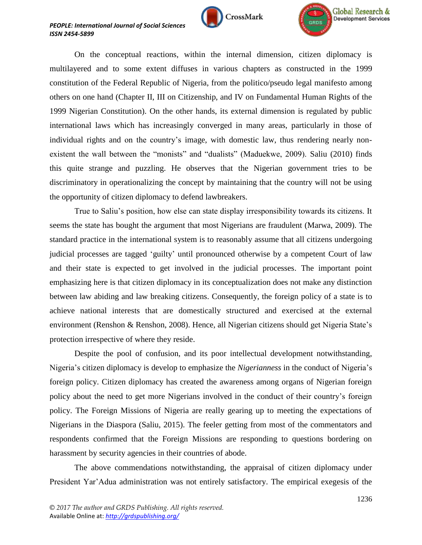



On the conceptual reactions, within the internal dimension, citizen diplomacy is multilayered and to some extent diffuses in various chapters as constructed in the 1999 constitution of the Federal Republic of Nigeria, from the politico/pseudo legal manifesto among others on one hand (Chapter II, III on Citizenship, and IV on Fundamental Human Rights of the 1999 Nigerian Constitution). On the other hands, its external dimension is regulated by public international laws which has increasingly converged in many areas, particularly in those of individual rights and on the country's image, with domestic law, thus rendering nearly nonexistent the wall between the "monists" and "dualists" (Maduekwe, 2009). Saliu (2010) finds this quite strange and puzzling. He observes that the Nigerian government tries to be discriminatory in operationalizing the concept by maintaining that the country will not be using the opportunity of citizen diplomacy to defend lawbreakers.

True to Saliu"s position, how else can state display irresponsibility towards its citizens. It seems the state has bought the argument that most Nigerians are fraudulent (Marwa, 2009). The standard practice in the international system is to reasonably assume that all citizens undergoing judicial processes are tagged "guilty" until pronounced otherwise by a competent Court of law and their state is expected to get involved in the judicial processes. The important point emphasizing here is that citizen diplomacy in its conceptualization does not make any distinction between law abiding and law breaking citizens. Consequently, the foreign policy of a state is to achieve national interests that are domestically structured and exercised at the external environment (Renshon & Renshon, 2008). Hence, all Nigerian citizens should get Nigeria State"s protection irrespective of where they reside.

Despite the pool of confusion, and its poor intellectual development notwithstanding, Nigeria"s citizen diplomacy is develop to emphasize the *Nigerianness* in the conduct of Nigeria"s foreign policy. Citizen diplomacy has created the awareness among organs of Nigerian foreign policy about the need to get more Nigerians involved in the conduct of their country"s foreign policy. The Foreign Missions of Nigeria are really gearing up to meeting the expectations of Nigerians in the Diaspora (Saliu, 2015). The feeler getting from most of the commentators and respondents confirmed that the Foreign Missions are responding to questions bordering on harassment by security agencies in their countries of abode.

The above commendations notwithstanding, the appraisal of citizen diplomacy under President Yar"Adua administration was not entirely satisfactory. The empirical exegesis of the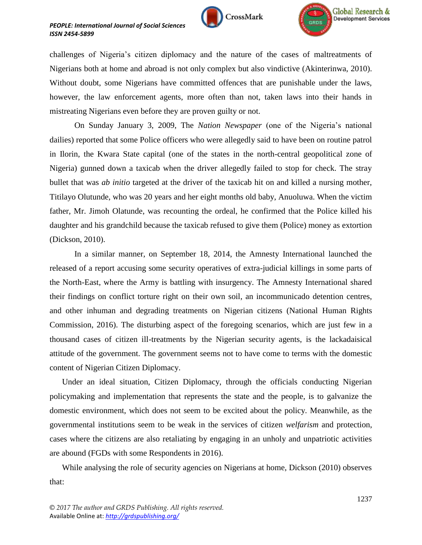



challenges of Nigeria"s citizen diplomacy and the nature of the cases of maltreatments of Nigerians both at home and abroad is not only complex but also vindictive (Akinterinwa, 2010). Without doubt, some Nigerians have committed offences that are punishable under the laws, however, the law enforcement agents, more often than not, taken laws into their hands in mistreating Nigerians even before they are proven guilty or not.

On Sunday January 3, 2009, The *Nation Newspaper* (one of the Nigeria"s national dailies) reported that some Police officers who were allegedly said to have been on routine patrol in Ilorin, the Kwara State capital (one of the states in the north-central geopolitical zone of Nigeria) gunned down a taxicab when the driver allegedly failed to stop for check. The stray bullet that was *ab initio* targeted at the driver of the taxicab hit on and killed a nursing mother, Titilayo Olutunde, who was 20 years and her eight months old baby, Anuoluwa. When the victim father, Mr. Jimoh Olatunde, was recounting the ordeal, he confirmed that the Police killed his daughter and his grandchild because the taxicab refused to give them (Police) money as extortion (Dickson, 2010).

In a similar manner, on September 18, 2014, the Amnesty International launched the released of a report accusing some security operatives of extra-judicial killings in some parts of the North-East, where the Army is battling with insurgency. The Amnesty International shared their findings on conflict torture right on their own soil, an incommunicado detention centres, and other inhuman and degrading treatments on Nigerian citizens (National Human Rights Commission, 2016). The disturbing aspect of the foregoing scenarios, which are just few in a thousand cases of citizen ill-treatments by the Nigerian security agents, is the lackadaisical attitude of the government. The government seems not to have come to terms with the domestic content of Nigerian Citizen Diplomacy.

Under an ideal situation, Citizen Diplomacy, through the officials conducting Nigerian policymaking and implementation that represents the state and the people, is to galvanize the domestic environment, which does not seem to be excited about the policy. Meanwhile, as the governmental institutions seem to be weak in the services of citizen *welfarism* and protection, cases where the citizens are also retaliating by engaging in an unholy and unpatriotic activities are abound (FGDs with some Respondents in 2016).

While analysing the role of security agencies on Nigerians at home, Dickson (2010) observes that: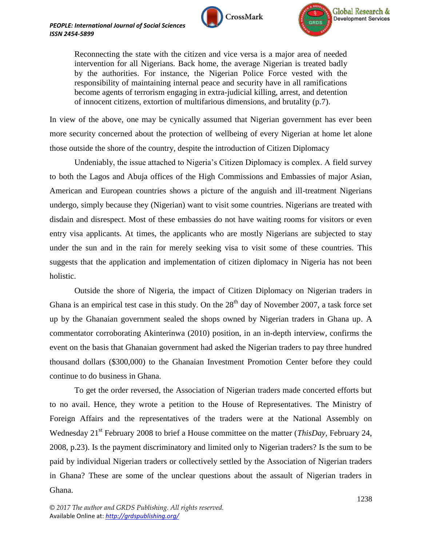



Reconnecting the state with the citizen and vice versa is a major area of needed intervention for all Nigerians. Back home, the average Nigerian is treated badly by the authorities. For instance, the Nigerian Police Force vested with the responsibility of maintaining internal peace and security have in all ramifications become agents of terrorism engaging in extra-judicial killing, arrest, and detention of innocent citizens, extortion of multifarious dimensions, and brutality (p.7).

In view of the above, one may be cynically assumed that Nigerian government has ever been more security concerned about the protection of wellbeing of every Nigerian at home let alone those outside the shore of the country, despite the introduction of Citizen Diplomacy

Undeniably, the issue attached to Nigeria"s Citizen Diplomacy is complex. A field survey to both the Lagos and Abuja offices of the High Commissions and Embassies of major Asian, American and European countries shows a picture of the anguish and ill-treatment Nigerians undergo, simply because they (Nigerian) want to visit some countries. Nigerians are treated with disdain and disrespect. Most of these embassies do not have waiting rooms for visitors or even entry visa applicants. At times, the applicants who are mostly Nigerians are subjected to stay under the sun and in the rain for merely seeking visa to visit some of these countries. This suggests that the application and implementation of citizen diplomacy in Nigeria has not been holistic.

Outside the shore of Nigeria, the impact of Citizen Diplomacy on Nigerian traders in Ghana is an empirical test case in this study. On the  $28<sup>th</sup>$  day of November 2007, a task force set up by the Ghanaian government sealed the shops owned by Nigerian traders in Ghana up. A commentator corroborating Akinterinwa (2010) position, in an in-depth interview, confirms the event on the basis that Ghanaian government had asked the Nigerian traders to pay three hundred thousand dollars (\$300,000) to the Ghanaian Investment Promotion Center before they could continue to do business in Ghana.

To get the order reversed, the Association of Nigerian traders made concerted efforts but to no avail. Hence, they wrote a petition to the House of Representatives. The Ministry of Foreign Affairs and the representatives of the traders were at the National Assembly on Wednesday 21<sup>st</sup> February 2008 to brief a House committee on the matter (*ThisDay*, February 24, 2008, p.23). Is the payment discriminatory and limited only to Nigerian traders? Is the sum to be paid by individual Nigerian traders or collectively settled by the Association of Nigerian traders in Ghana? These are some of the unclear questions about the assault of Nigerian traders in Ghana.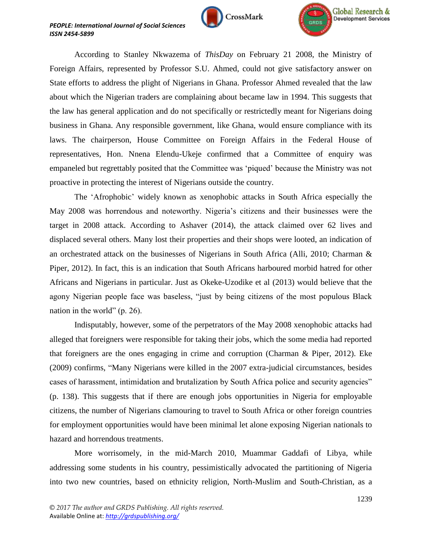



According to Stanley Nkwazema of *ThisDay* on February 21 2008, the Ministry of Foreign Affairs, represented by Professor S.U. Ahmed, could not give satisfactory answer on State efforts to address the plight of Nigerians in Ghana. Professor Ahmed revealed that the law about which the Nigerian traders are complaining about became law in 1994. This suggests that the law has general application and do not specifically or restrictedly meant for Nigerians doing business in Ghana. Any responsible government, like Ghana, would ensure compliance with its laws. The chairperson, House Committee on Foreign Affairs in the Federal House of representatives, Hon. Nnena Elendu-Ukeje confirmed that a Committee of enquiry was empaneled but regrettably posited that the Committee was "piqued" because the Ministry was not proactive in protecting the interest of Nigerians outside the country.

The "Afrophobic" widely known as xenophobic attacks in South Africa especially the May 2008 was horrendous and noteworthy. Nigeria"s citizens and their businesses were the target in 2008 attack. According to Ashaver (2014), the attack claimed over 62 lives and displaced several others. Many lost their properties and their shops were looted, an indication of an orchestrated attack on the businesses of Nigerians in South Africa (Alli, 2010; Charman  $\&$ Piper, 2012). In fact, this is an indication that South Africans harboured morbid hatred for other Africans and Nigerians in particular. Just as Okeke-Uzodike et al (2013) would believe that the agony Nigerian people face was baseless, "just by being citizens of the most populous Black nation in the world" (p. 26).

Indisputably, however, some of the perpetrators of the May 2008 xenophobic attacks had alleged that foreigners were responsible for taking their jobs, which the some media had reported that foreigners are the ones engaging in crime and corruption (Charman & Piper, 2012). Eke (2009) confirms, "Many Nigerians were killed in the 2007 extra-judicial circumstances, besides cases of harassment, intimidation and brutalization by South Africa police and security agencies" (p. 138). This suggests that if there are enough jobs opportunities in Nigeria for employable citizens, the number of Nigerians clamouring to travel to South Africa or other foreign countries for employment opportunities would have been minimal let alone exposing Nigerian nationals to hazard and horrendous treatments.

More worrisomely, in the mid-March 2010, Muammar Gaddafi of Libya, while addressing some students in his country, pessimistically advocated the partitioning of Nigeria into two new countries, based on ethnicity religion, North-Muslim and South-Christian, as a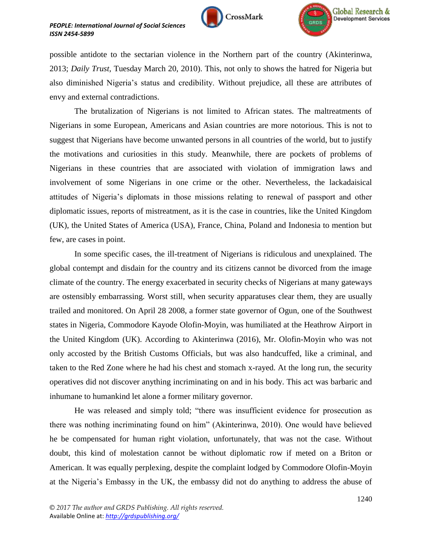





possible antidote to the sectarian violence in the Northern part of the country (Akinterinwa, 2013; *Daily Trust,* Tuesday March 20, 2010). This, not only to shows the hatred for Nigeria but also diminished Nigeria"s status and credibility. Without prejudice, all these are attributes of envy and external contradictions.

The brutalization of Nigerians is not limited to African states. The maltreatments of Nigerians in some European, Americans and Asian countries are more notorious. This is not to suggest that Nigerians have become unwanted persons in all countries of the world, but to justify the motivations and curiosities in this study. Meanwhile, there are pockets of problems of Nigerians in these countries that are associated with violation of immigration laws and involvement of some Nigerians in one crime or the other. Nevertheless, the lackadaisical attitudes of Nigeria"s diplomats in those missions relating to renewal of passport and other diplomatic issues, reports of mistreatment, as it is the case in countries, like the United Kingdom (UK), the United States of America (USA), France, China, Poland and Indonesia to mention but few, are cases in point.

In some specific cases, the ill-treatment of Nigerians is ridiculous and unexplained. The global contempt and disdain for the country and its citizens cannot be divorced from the image climate of the country. The energy exacerbated in security checks of Nigerians at many gateways are ostensibly embarrassing. Worst still, when security apparatuses clear them, they are usually trailed and monitored. On April 28 2008, a former state governor of Ogun, one of the Southwest states in Nigeria, Commodore Kayode Olofin-Moyin, was humiliated at the Heathrow Airport in the United Kingdom (UK). According to Akinterinwa (2016), Mr. Olofin-Moyin who was not only accosted by the British Customs Officials, but was also handcuffed, like a criminal, and taken to the Red Zone where he had his chest and stomach x-rayed. At the long run, the security operatives did not discover anything incriminating on and in his body. This act was barbaric and inhumane to humankind let alone a former military governor.

He was released and simply told; "there was insufficient evidence for prosecution as there was nothing incriminating found on him" (Akinterinwa, 2010). One would have believed he be compensated for human right violation, unfortunately, that was not the case. Without doubt, this kind of molestation cannot be without diplomatic row if meted on a Briton or American. It was equally perplexing, despite the complaint lodged by Commodore Olofin-Moyin at the Nigeria"s Embassy in the UK, the embassy did not do anything to address the abuse of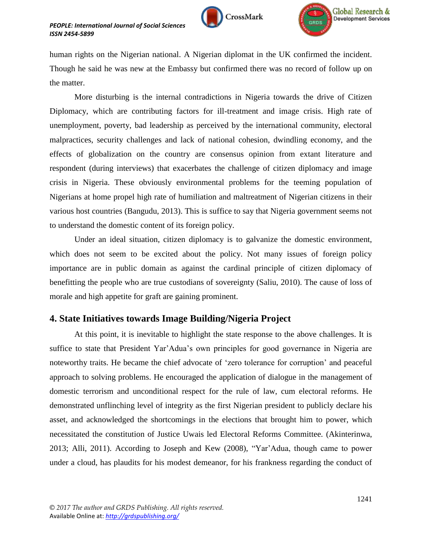



human rights on the Nigerian national. A Nigerian diplomat in the UK confirmed the incident. Though he said he was new at the Embassy but confirmed there was no record of follow up on the matter.

More disturbing is the internal contradictions in Nigeria towards the drive of Citizen Diplomacy, which are contributing factors for ill-treatment and image crisis. High rate of unemployment, poverty, bad leadership as perceived by the international community, electoral malpractices, security challenges and lack of national cohesion, dwindling economy, and the effects of globalization on the country are consensus opinion from extant literature and respondent (during interviews) that exacerbates the challenge of citizen diplomacy and image crisis in Nigeria. These obviously environmental problems for the teeming population of Nigerians at home propel high rate of humiliation and maltreatment of Nigerian citizens in their various host countries (Bangudu, 2013). This is suffice to say that Nigeria government seems not to understand the domestic content of its foreign policy.

Under an ideal situation, citizen diplomacy is to galvanize the domestic environment, which does not seem to be excited about the policy. Not many issues of foreign policy importance are in public domain as against the cardinal principle of citizen diplomacy of benefitting the people who are true custodians of sovereignty (Saliu, 2010). The cause of loss of morale and high appetite for graft are gaining prominent.

## **4. State Initiatives towards Image Building/Nigeria Project**

At this point, it is inevitable to highlight the state response to the above challenges. It is suffice to state that President Yar"Adua"s own principles for good governance in Nigeria are noteworthy traits. He became the chief advocate of "zero tolerance for corruption" and peaceful approach to solving problems. He encouraged the application of dialogue in the management of domestic terrorism and unconditional respect for the rule of law, cum electoral reforms. He demonstrated unflinching level of integrity as the first Nigerian president to publicly declare his asset, and acknowledged the shortcomings in the elections that brought him to power, which necessitated the constitution of Justice Uwais led Electoral Reforms Committee. (Akinterinwa, 2013; Alli, 2011). According to Joseph and Kew (2008), "Yar"Adua, though came to power under a cloud, has plaudits for his modest demeanor, for his frankness regarding the conduct of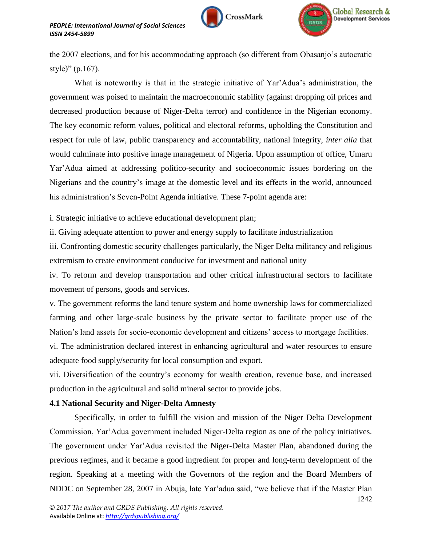





the 2007 elections, and for his accommodating approach (so different from Obasanjo"s autocratic style)" (p.167).

What is noteworthy is that in the strategic initiative of Yar'Adua's administration, the government was poised to maintain the macroeconomic stability (against dropping oil prices and decreased production because of Niger-Delta terror) and confidence in the Nigerian economy. The key economic reform values, political and electoral reforms, upholding the Constitution and respect for rule of law, public transparency and accountability, national integrity, *inter alia* that would culminate into positive image management of Nigeria. Upon assumption of office, Umaru Yar"Adua aimed at addressing politico-security and socioeconomic issues bordering on the Nigerians and the country"s image at the domestic level and its effects in the world, announced his administration's Seven-Point Agenda initiative. These 7-point agenda are:

i. Strategic initiative to achieve educational development plan;

ii. Giving adequate attention to power and energy supply to facilitate industrialization

iii. Confronting domestic security challenges particularly, the Niger Delta militancy and religious extremism to create environment conducive for investment and national unity

iv. To reform and develop transportation and other critical infrastructural sectors to facilitate movement of persons, goods and services.

v. The government reforms the land tenure system and home ownership laws for commercialized farming and other large-scale business by the private sector to facilitate proper use of the Nation"s land assets for socio-economic development and citizens" access to mortgage facilities.

vi. The administration declared interest in enhancing agricultural and water resources to ensure adequate food supply/security for local consumption and export.

vii. Diversification of the country"s economy for wealth creation, revenue base, and increased production in the agricultural and solid mineral sector to provide jobs.

## **4.1 National Security and Niger-Delta Amnesty**

Specifically, in order to fulfill the vision and mission of the Niger Delta Development Commission, Yar"Adua government included Niger-Delta region as one of the policy initiatives. The government under Yar"Adua revisited the Niger-Delta Master Plan, abandoned during the previous regimes, and it became a good ingredient for proper and long-term development of the region. Speaking at a meeting with the Governors of the region and the Board Members of NDDC on September 28, 2007 in Abuja, late Yar"adua said, "we believe that if the Master Plan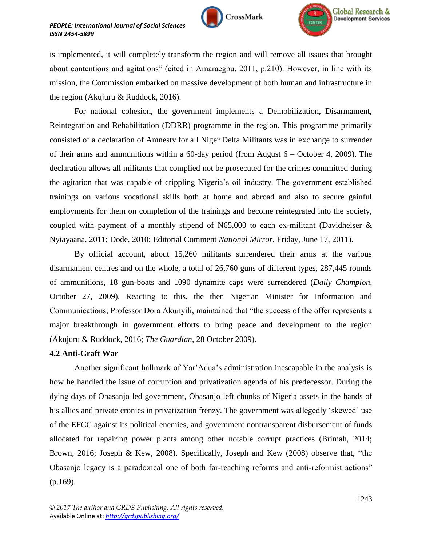



is implemented, it will completely transform the region and will remove all issues that brought about contentions and agitations" (cited in Amaraegbu, 2011, p.210). However, in line with its mission, the Commission embarked on massive development of both human and infrastructure in the region (Akujuru & Ruddock, 2016).

For national cohesion, the government implements a Demobilization, Disarmament, Reintegration and Rehabilitation (DDRR) programme in the region. This programme primarily consisted of a declaration of Amnesty for all Niger Delta Militants was in exchange to surrender of their arms and ammunitions within a 60-day period (from August 6 – October 4, 2009). The declaration allows all militants that complied not be prosecuted for the crimes committed during the agitation that was capable of crippling Nigeria"s oil industry. The government established trainings on various vocational skills both at home and abroad and also to secure gainful employments for them on completion of the trainings and become reintegrated into the society, coupled with payment of a monthly stipend of N65,000 to each ex-militant (Davidheiser & Nyiayaana, 2011; Dode, 2010; Editorial Comment *National Mirror*, Friday, June 17, 2011).

By official account, about 15,260 militants surrendered their arms at the various disarmament centres and on the whole, a total of 26,760 guns of different types, 287,445 rounds of ammunitions, 18 gun-boats and 1090 dynamite caps were surrendered (*Daily Champion*, October 27, 2009). Reacting to this, the then Nigerian Minister for Information and Communications, Professor Dora Akunyili, maintained that "the success of the offer represents a major breakthrough in government efforts to bring peace and development to the region (Akujuru & Ruddock, 2016; *The Guardian*, 28 October 2009).

## **4.2 Anti-Graft War**

Another significant hallmark of Yar"Adua"s administration inescapable in the analysis is how he handled the issue of corruption and privatization agenda of his predecessor. During the dying days of Obasanjo led government, Obasanjo left chunks of Nigeria assets in the hands of his allies and private cronies in privatization frenzy. The government was allegedly 'skewed' use of the EFCC against its political enemies, and government nontransparent disbursement of funds allocated for repairing power plants among other notable corrupt practices (Brimah, 2014; Brown, 2016; Joseph & Kew, 2008). Specifically, Joseph and Kew (2008) observe that, "the Obasanjo legacy is a paradoxical one of both far-reaching reforms and anti-reformist actions" (p.169).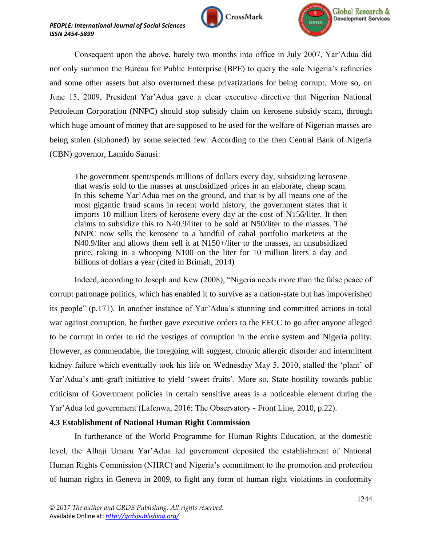



Consequent upon the above, barely two months into office in July 2007, Yar"Adua did not only summon the Bureau for Public Enterprise (BPE) to query the sale Nigeria's refineries and some other assets but also overturned these privatizations for being corrupt. More so, on June 15, 2009, President Yar"Adua gave a clear executive directive that Nigerian National Petroleum Corporation (NNPC) should stop subsidy claim on kerosene subsidy scam, through which huge amount of money that are supposed to be used for the welfare of Nigerian masses are being stolen (siphoned) by some selected few. According to the then Central Bank of Nigeria (CBN) governor, Lamido Sanusi:

The government spent/spends millions of dollars every day, subsidizing kerosene that was/is sold to the masses at unsubsidized prices in an elaborate, cheap scam. In this scheme Yar"Adua met on the ground, and that is by all means one of the most gigantic fraud scams in recent world history, the government states that it imports 10 million liters of kerosene every day at the cost of N156/liter. It then claims to subsidize this to N40.9/liter to be sold at N50/liter to the masses. The NNPC now sells the kerosene to a handful of cabal portfolio marketers at the N40.9/liter and allows them sell it at N150+/liter to the masses, an unsubsidized price, raking in a whooping N100 on the liter for 10 million liters a day and billions of dollars a year (cited in Brimah, 2014)

Indeed, according to Joseph and Kew (2008), "Nigeria needs more than the false peace of corrupt patronage politics, which has enabled it to survive as a nation-state but has impoverished its people" (p.171). In another instance of Yar"Adua"s stunning and committed actions in total war against corruption, he further gave executive orders to the EFCC to go after anyone alleged to be corrupt in order to rid the vestiges of corruption in the entire system and Nigeria polity. However, as commendable, the foregoing will suggest, chronic allergic disorder and intermittent kidney failure which eventually took his life on Wednesday May 5, 2010, stalled the "plant" of Yar"Adua"s anti-graft initiative to yield "sweet fruits". More so, State hostility towards public criticism of Government policies in certain sensitive areas is a noticeable element during the Yar"Adua led government (Lafenwa, 2016; The Observatory - Front Line, 2010, p.22).

## **4.3 Establishment of National Human Right Commission**

In furtherance of the World Programme for Human Rights Education, at the domestic level, the Alhaji Umaru Yar"Adua led government deposited the establishment of National Human Rights Commission (NHRC) and Nigeria's commitment to the promotion and protection of human rights in Geneva in 2009, to fight any form of human right violations in conformity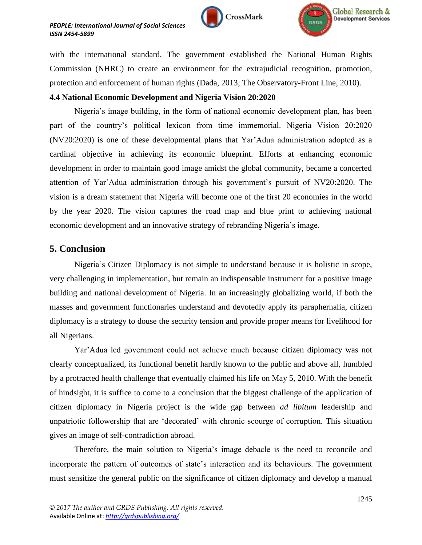



with the international standard. The government established the National Human Rights Commission (NHRC) to create an environment for the extrajudicial recognition, promotion, protection and enforcement of human rights (Dada, 2013; The Observatory-Front Line, 2010).

## **4.4 National Economic Development and Nigeria Vision 20:2020**

Nigeria"s image building, in the form of national economic development plan, has been part of the country"s political lexicon from time immemorial. Nigeria Vision 20:2020 (NV20:2020) is one of these developmental plans that Yar"Adua administration adopted as a cardinal objective in achieving its economic blueprint. Efforts at enhancing economic development in order to maintain good image amidst the global community, became a concerted attention of Yar"Adua administration through his government"s pursuit of NV20:2020. The vision is a dream statement that Nigeria will become one of the first 20 economies in the world by the year 2020. The vision captures the road map and blue print to achieving national economic development and an innovative strategy of rebranding Nigeria"s image.

## **5. Conclusion**

Nigeria"s Citizen Diplomacy is not simple to understand because it is holistic in scope, very challenging in implementation, but remain an indispensable instrument for a positive image building and national development of Nigeria. In an increasingly globalizing world, if both the masses and government functionaries understand and devotedly apply its paraphernalia, citizen diplomacy is a strategy to douse the security tension and provide proper means for livelihood for all Nigerians.

Yar"Adua led government could not achieve much because citizen diplomacy was not clearly conceptualized, its functional benefit hardly known to the public and above all, humbled by a protracted health challenge that eventually claimed his life on May 5, 2010. With the benefit of hindsight, it is suffice to come to a conclusion that the biggest challenge of the application of citizen diplomacy in Nigeria project is the wide gap between *ad libitum* leadership and unpatriotic followership that are "decorated" with chronic scourge of corruption. This situation gives an image of self-contradiction abroad.

Therefore, the main solution to Nigeria"s image debacle is the need to reconcile and incorporate the pattern of outcomes of state"s interaction and its behaviours. The government must sensitize the general public on the significance of citizen diplomacy and develop a manual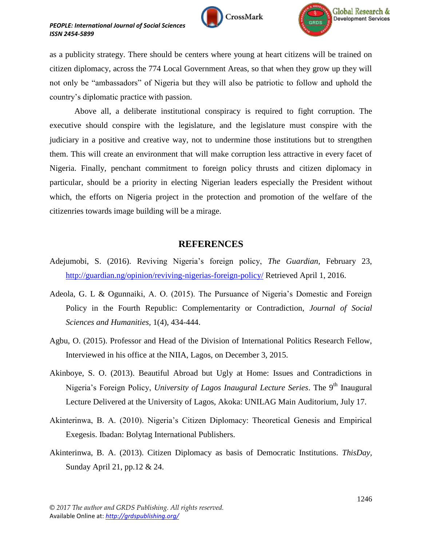





as a publicity strategy. There should be centers where young at heart citizens will be trained on citizen diplomacy, across the 774 Local Government Areas, so that when they grow up they will not only be "ambassadors" of Nigeria but they will also be patriotic to follow and uphold the country"s diplomatic practice with passion.

Above all, a deliberate institutional conspiracy is required to fight corruption. The executive should conspire with the legislature, and the legislature must conspire with the judiciary in a positive and creative way, not to undermine those institutions but to strengthen them. This will create an environment that will make corruption less attractive in every facet of Nigeria. Finally, penchant commitment to foreign policy thrusts and citizen diplomacy in particular, should be a priority in electing Nigerian leaders especially the President without which, the efforts on Nigeria project in the protection and promotion of the welfare of the citizenries towards image building will be a mirage.

## **REFERENCES**

- Adejumobi, S. (2016). Reviving Nigeria"s foreign policy, *The Guardian,* February 23, <http://guardian.ng/opinion/reviving-nigerias-foreign-policy/> Retrieved April 1, 2016.
- Adeola, G. L & Ogunnaiki, A. O. (2015). The Pursuance of Nigeria"s Domestic and Foreign Policy in the Fourth Republic: Complementarity or Contradiction, *Journal of Social Sciences and Humanities,* 1(4), 434-444.
- Agbu, O. (2015). Professor and Head of the Division of International Politics Research Fellow, Interviewed in his office at the NIIA, Lagos, on December 3, 2015.
- Akinboye, S. O. (2013). Beautiful Abroad but Ugly at Home: Issues and Contradictions in Nigeria's Foreign Policy, *University of Lagos Inaugural Lecture Series*. The 9<sup>th</sup> Inaugural Lecture Delivered at the University of Lagos, Akoka: UNILAG Main Auditorium, July 17.
- Akinterinwa, B. A. (2010). Nigeria"s Citizen Diplomacy: Theoretical Genesis and Empirical Exegesis. Ibadan: Bolytag International Publishers.
- Akinterinwa, B. A. (2013). Citizen Diplomacy as basis of Democratic Institutions. *ThisDay,* Sunday April 21, pp.12 & 24.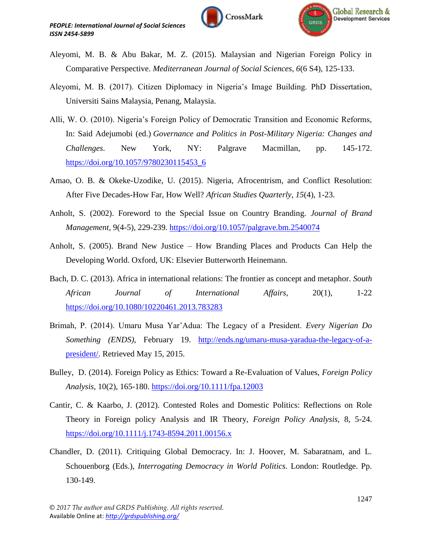



- Aleyomi, M. B. & Abu Bakar, M. Z. (2015). Malaysian and Nigerian Foreign Policy in Comparative Perspective. *Mediterranean Journal of Social Sciences*, *6*(6 S4), 125-133.
- Aleyomi, M. B. (2017). Citizen Diplomacy in Nigeria's Image Building. PhD Dissertation, Universiti Sains Malaysia, Penang, Malaysia.
- Alli, W. O. (2010). Nigeria"s Foreign Policy of Democratic Transition and Economic Reforms, In: Said Adejumobi (ed.) *Governance and Politics in Post-Military Nigeria: Changes and Challenges*. New York, NY: Palgrave Macmillan, pp. 145-172. [https://doi.org/10.1057/9780230115453\\_6](https://doi.org/10.1057/9780230115453_6)
- Amao, O. B. & Okeke-Uzodike, U. (2015). Nigeria, Afrocentrism, and Conflict Resolution: After Five Decades-How Far, How Well? *African Studies Quarterly*, *15*(4), 1-23.
- Anholt, S. (2002). Foreword to the Special Issue on Country Branding. *Journal of Brand Management,* 9(4-5), 229-239. <https://doi.org/10.1057/palgrave.bm.2540074>
- Anholt, S. (2005). Brand New Justice How Branding Places and Products Can Help the Developing World. Oxford, UK: Elsevier Butterworth Heinemann.
- Bach, D. C. (2013). Africa in international relations: The frontier as concept and metaphor. *South African Journal of International Affairs,* 20(1), 1-22 <https://doi.org/10.1080/10220461.2013.783283>
- Brimah, P. (2014). Umaru Musa Yar"Adua: The Legacy of a President. *Every Nigerian Do Something (ENDS),* February 19. [http://ends.ng/umaru-musa-yaradua-the-legacy-of-a](http://ends.ng/umaru-musa-yaradua-the-legacy-of-a-president/)[president/.](http://ends.ng/umaru-musa-yaradua-the-legacy-of-a-president/) Retrieved May 15, 2015.
- Bulley, D. (2014). Foreign Policy as Ethics: Toward a Re-Evaluation of Values, *Foreign Policy Analysis,* 10(2), 165-180. <https://doi.org/10.1111/fpa.12003>
- Cantir, C. & Kaarbo, J. (2012). Contested Roles and Domestic Politics: Reflections on Role Theory in Foreign policy Analysis and IR Theory, *Foreign Policy Analysis,* 8, 5-24. <https://doi.org/10.1111/j.1743-8594.2011.00156.x>
- Chandler, D. (2011). Critiquing Global Democracy. In: J. Hoover, M. Sabaratnam, and L. Schouenborg (Eds.), *Interrogating Democracy in World Politics.* London: Routledge. Pp. 130-149.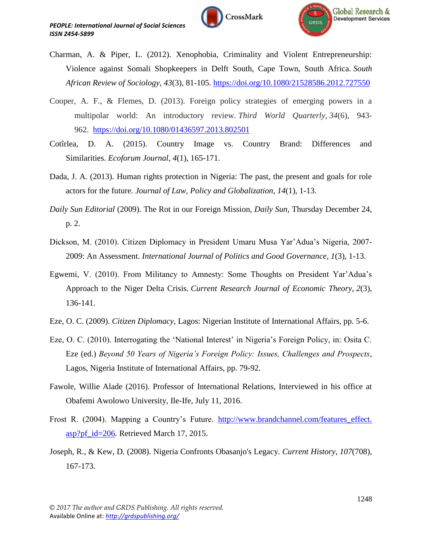



- Charman, A. & Piper, L. (2012). Xenophobia, Criminality and Violent Entrepreneurship: Violence against Somali Shopkeepers in Delft South, Cape Town, South Africa. *South African Review of Sociology*, *43*(3), 81-105. <https://doi.org/10.1080/21528586.2012.727550>
- Cooper, A. F., & Flemes, D. (2013). Foreign policy strategies of emerging powers in a multipolar world: An introductory review. *Third World Quarterly*, *34*(6), 943- 962. <https://doi.org/10.1080/01436597.2013.802501>
- Cotîrlea, D. A. (2015). Country Image vs. Country Brand: Differences and Similarities. *Ecoforum Journal*, *4*(1), 165-171.
- Dada, J. A. (2013). Human rights protection in Nigeria: The past, the present and goals for role actors for the future. *Journal of Law, Policy and Globalization, 14*(1), 1-13.
- *Daily Sun Editorial* (2009). The Rot in our Foreign Mission, *Daily Sun*, Thursday December 24, p. 2.
- Dickson, M. (2010). Citizen Diplomacy in President Umaru Musa Yar"Adua"s Nigeria, 2007- 2009: An Assessment. *International Journal of Politics and Good Governance*, *1*(3), 1-13.
- Egwemi, V. (2010). From Militancy to Amnesty: Some Thoughts on President Yar"Adua"s Approach to the Niger Delta Crisis. *Current Research Journal of Economic Theory*, *2*(3), 136-141.
- Eze, O. C. (2009). *Citizen Diplomacy,* Lagos: Nigerian Institute of International Affairs, pp. 5-6.
- Eze, O. C. (2010). Interrogating the "National Interest" in Nigeria"s Foreign Policy, in: Osita C. Eze (ed.) *Beyond 50 Years of Nigeria's Foreign Policy: Issues, Challenges and Prospects*, Lagos, Nigeria Institute of International Affairs, pp. 79-92.
- Fawole, Willie Alade (2016). Professor of International Relations, Interviewed in his office at Obafemi Awolowo University, Ile-Ife, July 11, 2016.
- Frost R. (2004). Mapping a Country's Future. http://www.brandchannel.com/features effect. [asp?pf\\_id=206](http://www.brandchannel.com/features_effect.%20asp?pf_id=206)*.* Retrieved March 17, 2015.
- Joseph, R., & Kew, D. (2008). Nigeria Confronts Obasanjo's Legacy. *Current History*, *107*(708), 167-173.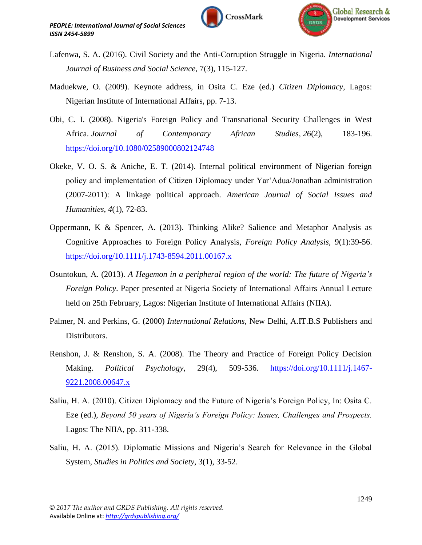



- Lafenwa, S. A. (2016). Civil Society and the Anti-Corruption Struggle in Nigeria. *International Journal of Business and Social Science*, 7(3), 115-127.
- Maduekwe, O. (2009). Keynote address, in Osita C. Eze (ed.) *Citizen Diplomacy*, Lagos: Nigerian Institute of International Affairs, pp. 7-13.
- Obi, C. I. (2008). Nigeria's Foreign Policy and Transnational Security Challenges in West Africa. *Journal of Contemporary African Studies*, *26*(2), 183-196. <https://doi.org/10.1080/02589000802124748>
- Okeke, V. O. S. & Aniche, E. T. (2014). Internal political environment of Nigerian foreign policy and implementation of Citizen Diplomacy under Yar"Adua/Jonathan administration (2007-2011): A linkage political approach. *American Journal of Social Issues and Humanities*, *4*(1), 72-83.
- Oppermann, K & Spencer, A. (2013). Thinking Alike? Salience and Metaphor Analysis as Cognitive Approaches to Foreign Policy Analysis, *Foreign Policy Analysis,* 9(1):39-56. <https://doi.org/10.1111/j.1743-8594.2011.00167.x>
- Osuntokun, A. (2013). *A Hegemon in a peripheral region of the world: The future of Nigeria's Foreign Policy*. Paper presented at Nigeria Society of International Affairs Annual Lecture held on 25th February, Lagos: Nigerian Institute of International Affairs (NIIA).
- Palmer, N. and Perkins, G. (2000) *International Relations,* New Delhi, A.IT.B.S Publishers and Distributors.
- Renshon, J. & Renshon, S. A. (2008). The Theory and Practice of Foreign Policy Decision Making. *Political Psychology,* 29(4), 509-536. [https://doi.org/10.1111/j.1467-](https://doi.org/10.1111/j.1467-9221.2008.00647.x) [9221.2008.00647.x](https://doi.org/10.1111/j.1467-9221.2008.00647.x)
- Saliu, H. A. (2010). Citizen Diplomacy and the Future of Nigeria's Foreign Policy, In: Osita C. Eze (ed.), *Beyond 50 years of Nigeria's Foreign Policy: Issues, Challenges and Prospects.* Lagos: The NIIA, pp. 311-338.
- Saliu, H. A. (2015). Diplomatic Missions and Nigeria's Search for Relevance in the Global System, *Studies in Politics and Society,* 3(1), 33-52.